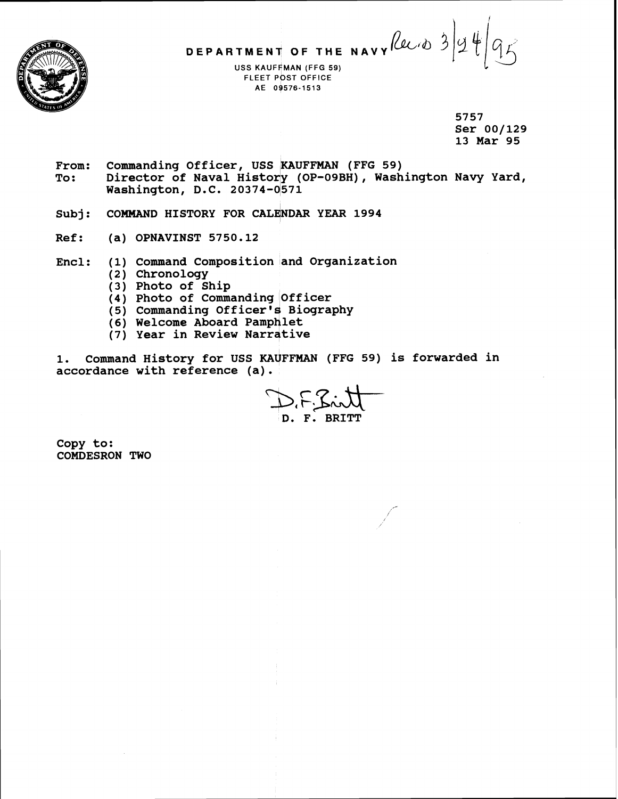

DEPARTMENT OF THE NAVY *Reed* 3

**USS KAUFFMAN (FFG 59)** FLEET POST OFFICE AE 09576-1513

> **5757 Ser 00/129 13 Mar 95**

- From: Commanding Officer, USS KAUFFMAN (FFG 59)<br>To: Director of Naval History (OP-09BH), Wash Director of Naval History (OP-09BH), Washington Navy Yard, **Washington, D.C. 20374-0571**
- Subj: COMMAND HISTORY FOR CALENDAR YEAR 1994
- **Ref** : **(a) OPNAVINST 5750.12**
- **Encl: (1) Command Composition and Organization** 
	- **(2) Chronology**
	- **(3) Photo of Ship**
	- **(4) Photo of Commanding Officer**
	- **(5) Commanding Officer' Biography**
	- (6) Welcome Aboard Pamphlet
	- $(7)$  Year in Review Narrative

1. Command History for USS KAUFFMAN (FFG 59) is forwarded in **accordance with reference (a).** 

 $D$ ,  $F_1$   $S_2$  in  $H^-$ **D. F. BRITT** 

**Copy to: COMDESRON TWO**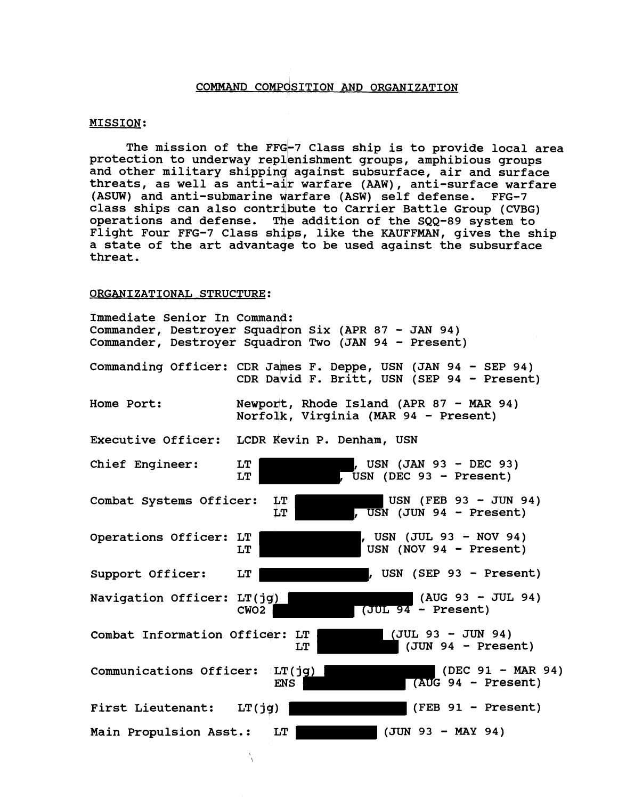## **COMMAND COMPOSITION AND ORGANIZATION**

### **MISSION:**

The mission of the FFG-7 Class ship is to provide local area protection to underway replenishment groups, amphibious groups **and other military shipping against subsurface, air and surface threats, as well as anti-adr warfare (AAW), anti-surface warfare**  (ASUW) and anti-submarine warfare (ASW) self defense. FFG-7 **class ships can also contribute to Carrier Battle Group (CVBG)**  operations and defense. The addition of the SQQ-89 system to **Flight Four FFG-7 Class ships, like the KAUFFMAN, gives the ship**  a state of the art advantage to be used against the subsurface **threat.** 

#### ORGANIZATIONAL STRUCTURE:

| Immediate Senior In Command:   | Commander, Destroyer Squadron Six (APR 87 - JAN 94)<br>Commander, Destroyer Squadron Two (JAN 94 - Present) |
|--------------------------------|-------------------------------------------------------------------------------------------------------------|
|                                | Commanding Officer: CDR James F. Deppe, USN (JAN 94 - SEP 94)<br>CDR David F. Britt, USN (SEP 94 - Present) |
| Home Port:                     | Newport, Rhode Island (APR 87 - MAR 94)<br>Norfolk, Virginia (MAR 94 - Present)                             |
| Executive Officer:             | LCDR Kevin P. Denham, USN                                                                                   |
| Chief Engineer:                | , USN (JAN 93 - DEC 93)<br>LT<br>USN (DEC 93 - Present)<br>LT                                               |
| Combat Systems Officer:        | USN (FEB 93 - JUN 94)<br>LT.<br>, USN (JUN 94 - Present)<br>LT                                              |
| Operations Officer: LT         | , USN (JUL 93 - NOV 94)<br>USN (NOV 94 - Present)<br>LT                                                     |
| Support Officer:               | , USN (SEP 93 - Present)<br>LT                                                                              |
| Navigation Officer: LT(jg)     | $(AUG 93 - JUL 94)$<br>$(UUL$ 94 - Present)<br>CWO <sub>2</sub>                                             |
| Combat Information Officer: LT | $(JUL 93 - JUN 94)$<br>$(JUN 94 - Present)$<br>LT                                                           |
| Communications Officer: LT(jg) | $(DEC 91 - MAR 94)$<br>$(AUG 94 - Present)$<br><b>ENS</b>                                                   |
| <b>First Lieutenant:</b>       | $(FEB 91 - Present)$<br>LT(jg)                                                                              |
| Main Propulsion Asst.:         | $(JUN 93 - MAY 94)$<br>LT                                                                                   |

 $\lambda$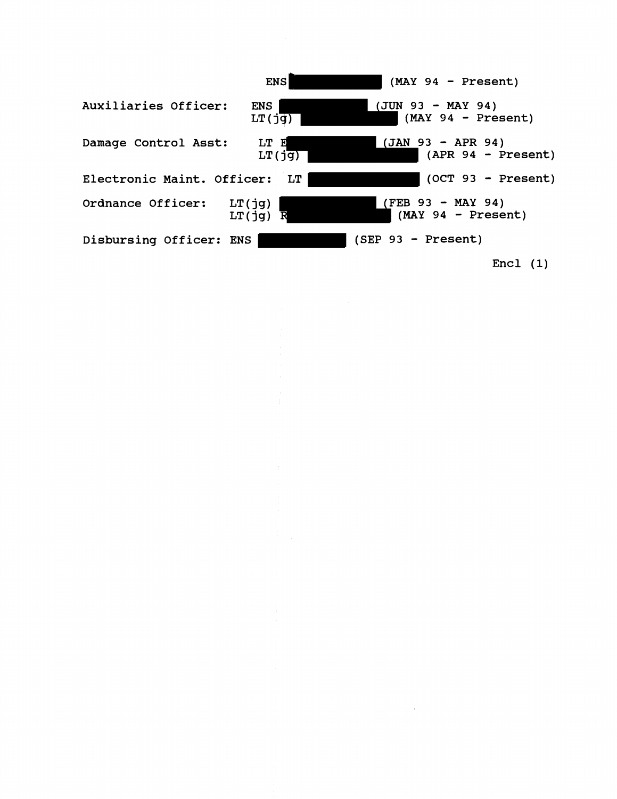

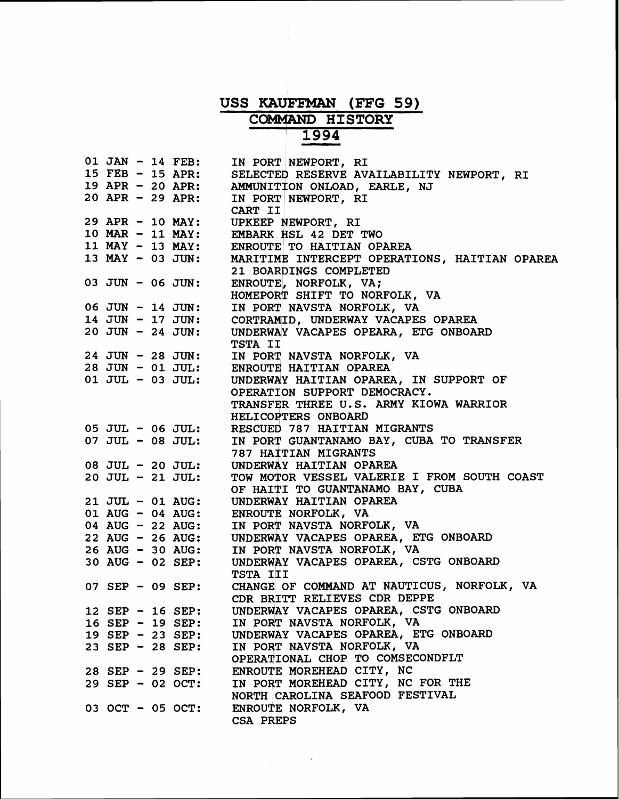# **USS KAU[FFMAN (FFG 59)**  COMMAND **HISTORY** ' **1994 MAN (FFG)<br>D HISTORY<br>1994**<br>WPORT, RI<br>ESERVE AVAIL

|  |  | $01$ JAN $-$ 14 FEB:               | IN PORT NEWPORT, RI                           |
|--|--|------------------------------------|-----------------------------------------------|
|  |  | 15 $FEB - 15$ APR:                 | SELECTED RESERVE AVAILABILITY NEWPORT, RI     |
|  |  | 19 APR - 20 APR:                   | AMMUNITION ONLOAD, EARLE, NJ                  |
|  |  | $20$ APR - 29 APR:                 |                                               |
|  |  |                                    | IN PORT NEWPORT, RI                           |
|  |  |                                    | CART II                                       |
|  |  | 29 APR - 10 MAY:                   | UPKEEP NEWPORT, RI                            |
|  |  | $10$ MAR - 11 MAY:                 | EMBARK HSL 42 DET TWO                         |
|  |  | 11 MAY - 13 MAY:                   | ENROUTE TO HAITIAN OPAREA                     |
|  |  | 13 MAY - 03 JUN:                   | MARITIME INTERCEPT OPERATIONS, HAITIAN OPAREA |
|  |  |                                    | 21 BOARDINGS COMPLETED                        |
|  |  |                                    |                                               |
|  |  | 03 JUN - 06 JUN:                   | ENROUTE, NORFOLK, VA;                         |
|  |  |                                    | HOMEPORT SHIFT TO NORFOLK, VA                 |
|  |  | 06 JUN - 14 JUN:                   | IN PORT NAVSTA NORFOLK, VA                    |
|  |  | 14 JUN - 17 JUN:                   | CORTRAMID, UNDERWAY VACAPES OPAREA            |
|  |  | $20$ JUN - 24 JUN:                 | UNDERWAY VACAPES OPEARA, ETG ONBOARD          |
|  |  |                                    |                                               |
|  |  |                                    | TSTA II                                       |
|  |  | 24 JUN - 28 JUN:                   | IN PORT NAVSTA NORFOLK, VA                    |
|  |  | 28 JUN - 01 JUL:                   | ENROUTE HAITIAN OPAREA                        |
|  |  | $01$ JUL - 03 JUL:                 | UNDERWAY HAITIAN OPAREA, IN SUPPORT OF        |
|  |  |                                    | OPERATION SUPPORT DEMOCRACY.                  |
|  |  |                                    | TRANSFER THREE U.S. ARMY KIOWA WARRIOR        |
|  |  |                                    |                                               |
|  |  |                                    | HELICOPTERS ONBOARD                           |
|  |  | 05 JUL - 06 JUL:                   | RESCUED 787 HAITIAN MIGRANTS                  |
|  |  | $07$ JUL - $08$ JUL:               | IN PORT GUANTANAMO BAY, CUBA TO TRANSFER      |
|  |  |                                    | 787 HAITIAN MIGRANTS                          |
|  |  | 08 JUL - 20 JUL:                   | UNDERWAY HAITIAN OPAREA                       |
|  |  | $20$ JUL - $21$ JUL:               | TOW MOTOR VESSEL VALERIE I FROM SOUTH COAST   |
|  |  |                                    |                                               |
|  |  |                                    | OF HAITI TO GUANTANAMO BAY, CUBA              |
|  |  | 21 JUL - 01 AUG:                   | UNDERWAY HAITIAN OPAREA                       |
|  |  | 01 AUG - 04 AUG:                   | ENROUTE NORFOLK, VA                           |
|  |  | 04 AUG - 22 AUG:                   | IN PORT NAVSTA NORFOLK, VA                    |
|  |  | $22 \text{ AUG} - 26 \text{ AUG}:$ | UNDERWAY VACAPES OPAREA, ETG ONBOARD          |
|  |  | 26 AUG - 30 AUG:                   | IN PORT NAVSTA NORFOLK, VA                    |
|  |  |                                    |                                               |
|  |  | 30 AUG - 02 SEP:                   | UNDERWAY VACAPES OPAREA, CSTG ONBOARD         |
|  |  |                                    | TSTA III                                      |
|  |  | 07 SEP - 09 SEP:                   | CHANGE OF COMMAND AT NAUTICUS, NORFOLK, VA    |
|  |  |                                    | CDR BRITT RELIEVES CDR DEPPE                  |
|  |  | 12 SEP - 16 SEP:                   | UNDERWAY VACAPES OPAREA, CSTG ONBOARD         |
|  |  | $16$ SEP - 19 SEP:                 | IN PORT NAVSTA NORFOLK, VA                    |
|  |  |                                    |                                               |
|  |  | 19 SEP - 23 SEP:                   | UNDERWAY VACAPES OPAREA, ETG ONBOARD          |
|  |  | $23$ SEP - 28 SEP:                 | IN PORT NAVSTA NORFOLK, VA                    |
|  |  |                                    | OPERATIONAL CHOP TO COMSECONDFLT              |
|  |  | 28 SEP - 29 SEP:                   | ENROUTE MOREHEAD CITY, NC                     |
|  |  | 29 SEP - 02 OCT:                   | IN PORT MOREHEAD CITY, NC FOR THE             |
|  |  |                                    |                                               |
|  |  |                                    | NORTH CAROLINA SEAFOOD FESTIVAL               |
|  |  | 03 OCT - 05 OCT:                   | ENROUTE NORFOLK, VA                           |
|  |  |                                    | CSA PREPS                                     |
|  |  |                                    |                                               |

 $\mathcal{L}^{\text{max}}_{\text{max}}$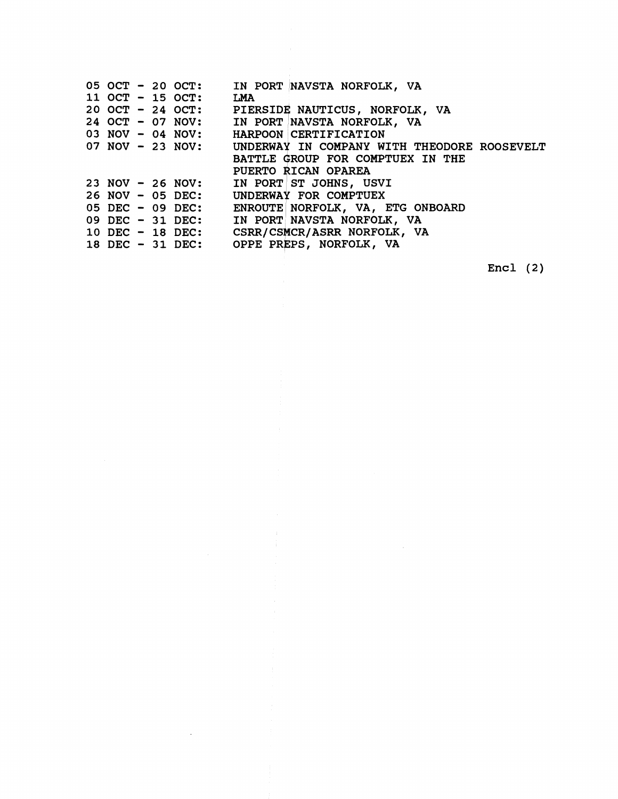|  |  | 05 OCT - 20 OCT:     | IN PORT NAVSTA NORFOLK, VA                   |
|--|--|----------------------|----------------------------------------------|
|  |  | 11 OCT $-$ 15 OCT:   | LMA                                          |
|  |  | $20$ OCT - 24 OCT:   | PIERSIDE NAUTICUS, NORFOLK, VA               |
|  |  | 24 OCT - 07 NOV:     | IN PORT NAVSTA NORFOLK, VA                   |
|  |  | $03$ NOV $-$ 04 NOV: | HARPOON CERTIFICATION                        |
|  |  | $07$ NOV $-23$ NOV:  | UNDERWAY IN COMPANY WITH THEODORE ROOSEVELT  |
|  |  |                      | BATTLE GROUP FOR COMPTUEX IN THE             |
|  |  |                      | PUERTO RICAN OPAREA                          |
|  |  | $23$ NOV $-26$ NOV:  | IN PORT ST JOHNS, USVI                       |
|  |  | $26$ NOV $-$ 05 DEC: | UNDERWAY FOR COMPTUEX                        |
|  |  | 05 DEC - 09 DEC:     | ENROUTE NORFOLK, VA, ETG ONBOARD             |
|  |  | 09 DEC - 31 DEC:     | IN PORT NAVSTA NORFOLK, VA                   |
|  |  |                      | 10 DEC - 18 DEC: CSRR/CSMCR/ASRR NORFOLK, VA |
|  |  |                      | 18 DEC - 31 DEC: OPPE PREPS, NORFOLK, VA     |
|  |  |                      |                                              |

 $\sim$   $\sim$ 

 $\sim 10$ 

Encl (2)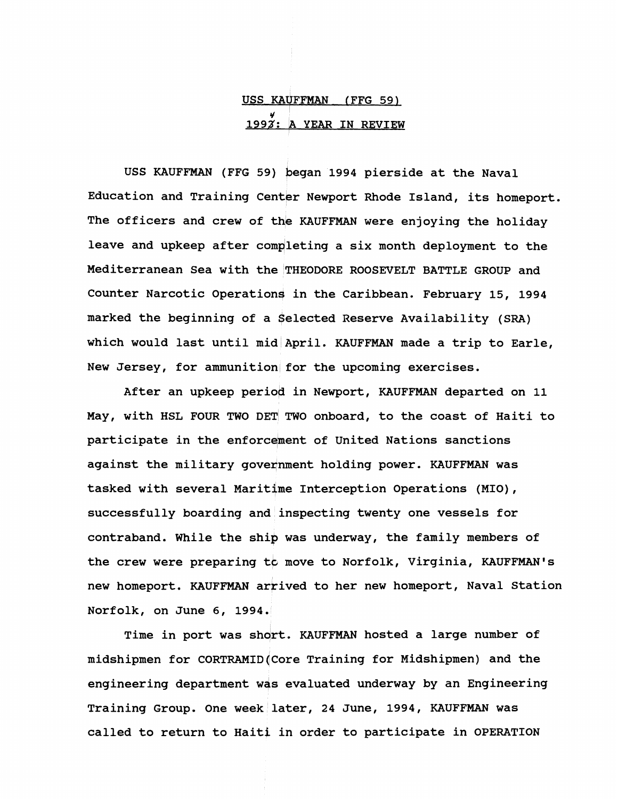# USS KAVFFMAN (FFG 59) <u>.<br>1993: A YEAR IN REVIEW</u>

USS KAUFFMAN (FFG 59) began 1994 pierside at the Naval Education and Training Center Newport Rhode Island, its homeport. The officers and crew of the KAUFFMAN were enjoying the holiday leave and upkeep after completing a six month deployment to the Mediterranean Sea with the THEODORE ROOSEVELT BATTLE GROUP and Counter Narcotic Operations in the Caribbean. February 15, 1994 marked the beginning of a \$elected Reserve Availability (SRA) which would last until mid April. KAUFFMAN made a trip to Earle, New Jersey, for ammunition for the upcoming exercises.

After an upkeep period in Newport, KAUFFMAN departed on 11 May, with HSL FOUR TWO DET TWO onboard, to the coast of Haiti to participate in the enforcement of United Nations sanctions against the military government holding power. KAUFFMAN was tasked with several Maritime Interception Operations (MIO), successfully boarding and inspecting twenty one vessels for contraband. While the shig was underway, the family members of the crew were preparing to move to Norfolk, Virginia, KAUFFMAN's new homeport. KAUFFMAN arrived to her new homeport, Naval Station Norfolk, on June 6, 1994.

Time in port was short. KAUFFMAN hosted a large number of midshipmen for CORTRAMID(Core Training for Midshipmen) and the engineering department was evaluated underway by an Engineering Training Group. One week later, 24 June, 1994, KAUFFMAN was called to return to Haiti in order to participate in OPERATION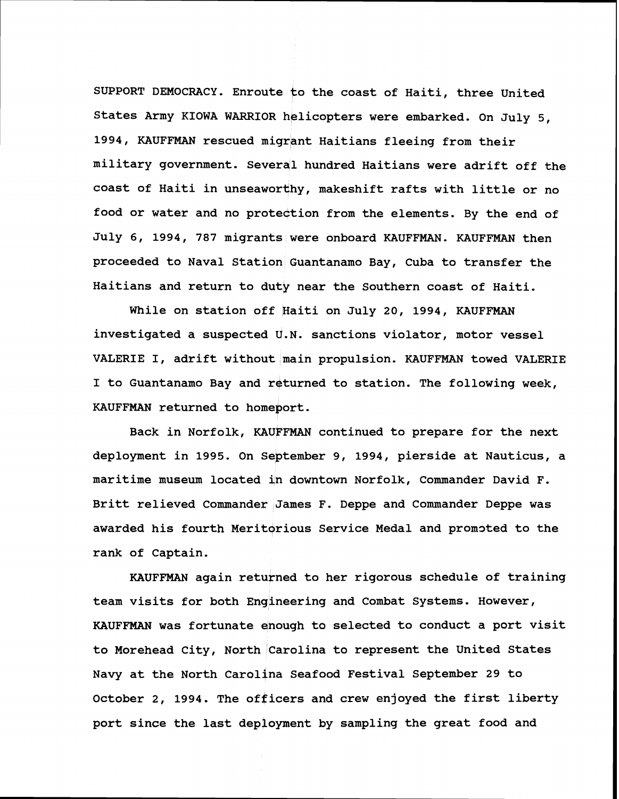SUPPORT DEMOCRACY. Enroute to the coast of Haiti, three United States Army KIOWA WARRIOR helicopters were embarked. On July 5, 1994, KAUFFMAN rescued migrant Haitians fleeing from their military government. Several hundred Haitians were adrift off the coast of Haiti in unseaworthy, makeshift rafts with little or no food or water and no proteqtion from the elements. By the end of July 6, 1994, 787 migrants were onboard KAUFFMAN. KAUFFMAN then proceeded to Naval Station Guantanamo Bay, Cuba to transfer the Haitians and return to duty near the Southern coast of Haiti.

While on station off Haiti on July 20, 1994, KAUFFMAN investigated a suspected U.N. sanctions violator, motor vessel VALERIE I, adrift without main propulsion. KAUFFMAN towed VALERIE I to Guantanamo Bay and returned to station. The following week, KAUFFMAN returned to homeport.

Back in Norfolk, KAUFFMAN continued to prepare for the next deployment in 1995. On September 9, 1994, pierside at Nauticus, a maritime museum located jn downtown Norfolk, Commander David F. Britt relieved Commander James F. Deppe and Commander Deppe was awarded his fourth Meritorious Service Medal and promoted to the rank of Captain.

KAUFFMAN again returned to her rigorous schedule of training team visits for both Engineering and Combat Systems. However, KAUFFMAN was fortunate enough to selected to conduct a port visit to Morehead City, North Carolina to represent the United States Navy at the North Carolina Seafood Festival September 29 to October 2, 1994. The officers and crew enjoyed the first liberty port since the last deployment by sampling the great food and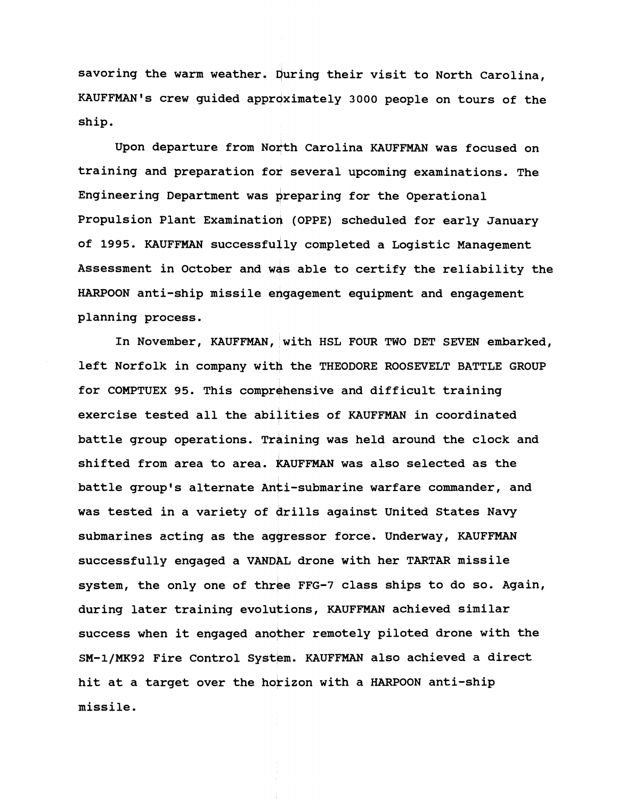savoring the warm weather. During their visit to North Carolina, KAUFFMAN's crew guided approximately 3000 people on tours of the ship.

Upon departure from North Carolina KAUFFMAN was focused on training and preparation for several upcoming examinations. The Engineering Department was preparing for the Operational Propulsion Plant Examinatioq (OPPE) scheduled for early January of 1995. KAUFFMAN successfully completed a Logistic Management Assessment in October and was able to certify the reliability the HARPOON anti-ship missile engagement equipment and engagement planning process.

In November, KAUFFMAN, with HSL FOUR TWO DET SEVEN embarked, left Norfolk in company with the THEODORE ROOSEVELT BATTLE GROUP for COMPTUEX 95. This comprehensive and difficult training exercise tested all the abilities of KAUFFMAN in coordinated battle group operations. Training was held around the clock and shifted from area to area. KAUFFMAN was also selected as the battle group's alternate Anti-submarine warfare commander, and was tested in a variety of drills against United States Navy submarines acting as the aggressor force. Underway, KAUFFMAN successfully engaged a VANDAL drone with her TARTAR missile system, the only one of three FFG-7 class ships to do so. Again, during later training evolutions, KAUFFMAN achieved similar success when it engaged another remotely piloted drone with the SM-1/MK92 Fire Control System. KAUFFMAN also achieved a direct hit at a target over the horizon with a HARPOON anti-ship missile.